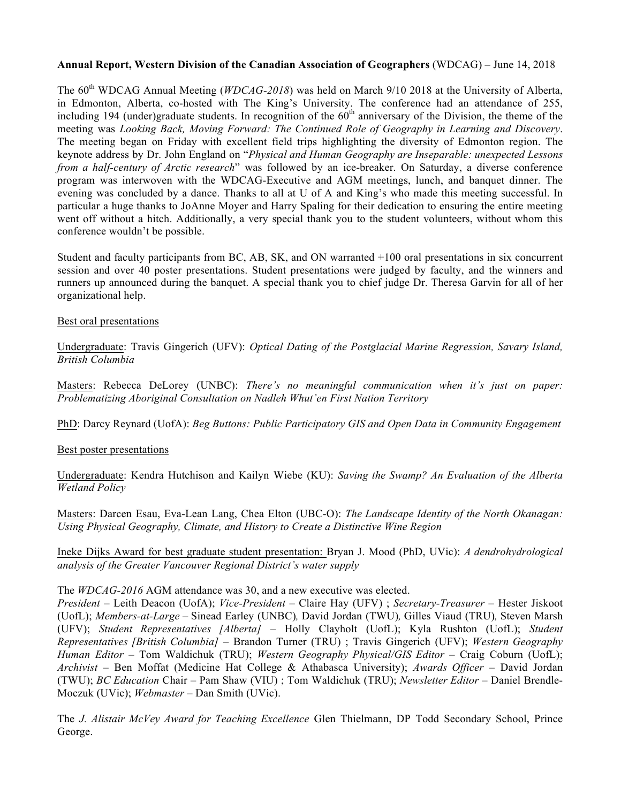## **Annual Report, Western Division of the Canadian Association of Geographers** (WDCAG) – June 14, 2018

The 60<sup>th</sup> WDCAG Annual Meeting (*WDCAG-2018*) was held on March 9/10 2018 at the University of Alberta, in Edmonton, Alberta, co-hosted with The King's University. The conference had an attendance of 255, including 194 (under)graduate students. In recognition of the  $60<sup>th</sup>$  anniversary of the Division, the theme of the meeting was *Looking Back, Moving Forward: The Continued Role of Geography in Learning and Discovery*. The meeting began on Friday with excellent field trips highlighting the diversity of Edmonton region. The keynote address by Dr. John England on "*Physical and Human Geography are Inseparable: unexpected Lessons from a half-century of Arctic research*" was followed by an ice-breaker. On Saturday, a diverse conference program was interwoven with the WDCAG-Executive and AGM meetings, lunch, and banquet dinner. The evening was concluded by a dance. Thanks to all at U of A and King's who made this meeting successful. In particular a huge thanks to JoAnne Moyer and Harry Spaling for their dedication to ensuring the entire meeting went off without a hitch. Additionally, a very special thank you to the student volunteers, without whom this conference wouldn't be possible.

Student and faculty participants from BC, AB, SK, and ON warranted +100 oral presentations in six concurrent session and over 40 poster presentations. Student presentations were judged by faculty, and the winners and runners up announced during the banquet. A special thank you to chief judge Dr. Theresa Garvin for all of her organizational help.

## Best oral presentations

Undergraduate: Travis Gingerich (UFV): *Optical Dating of the Postglacial Marine Regression, Savary Island, British Columbia*

Masters: Rebecca DeLorey (UNBC): *There's no meaningful communication when it's just on paper: Problematizing Aboriginal Consultation on Nadleh Whut'en First Nation Territory*

PhD: Darcy Reynard (UofA): *Beg Buttons: Public Participatory GIS and Open Data in Community Engagement*

## Best poster presentations

Undergraduate: Kendra Hutchison and Kailyn Wiebe (KU): *Saving the Swamp? An Evaluation of the Alberta Wetland Policy*

Masters: Darcen Esau, Eva-Lean Lang, Chea Elton (UBC-O): *The Landscape Identity of the North Okanagan: Using Physical Geography, Climate, and History to Create a Distinctive Wine Region*

Ineke Dijks Award for best graduate student presentation: Bryan J. Mood (PhD, UVic): *A dendrohydrological analysis of the Greater Vancouver Regional District's water supply*

The *WDCAG-2016* AGM attendance was 30, and a new executive was elected.

*President* – Leith Deacon (UofA); *Vice-President* – Claire Hay (UFV) ; *Secretary-Treasurer* – Hester Jiskoot (UofL); *Members-at-Large –* Sinead Earley (UNBC)*,* David Jordan (TWU)*,* Gilles Viaud (TRU)*,* Steven Marsh (UFV); *Student Representatives [Alberta]* – Holly Clayholt (UofL); Kyla Rushton (UofL); *Student Representatives [British Columbia]* – Brandon Turner (TRU) ; Travis Gingerich (UFV); *Western Geography Human Editor* – Tom Waldichuk (TRU); *Western Geography Physical/GIS Editor* – Craig Coburn (UofL); *Archivist* – Ben Moffat (Medicine Hat College & Athabasca University); *Awards Officer* – David Jordan (TWU); *BC Education* Chair – Pam Shaw (VIU) ; Tom Waldichuk (TRU); *Newsletter Editor* – Daniel Brendle-Moczuk (UVic); *Webmaster* – Dan Smith (UVic).

The *J. Alistair McVey Award for Teaching Excellence* Glen Thielmann, DP Todd Secondary School, Prince George.